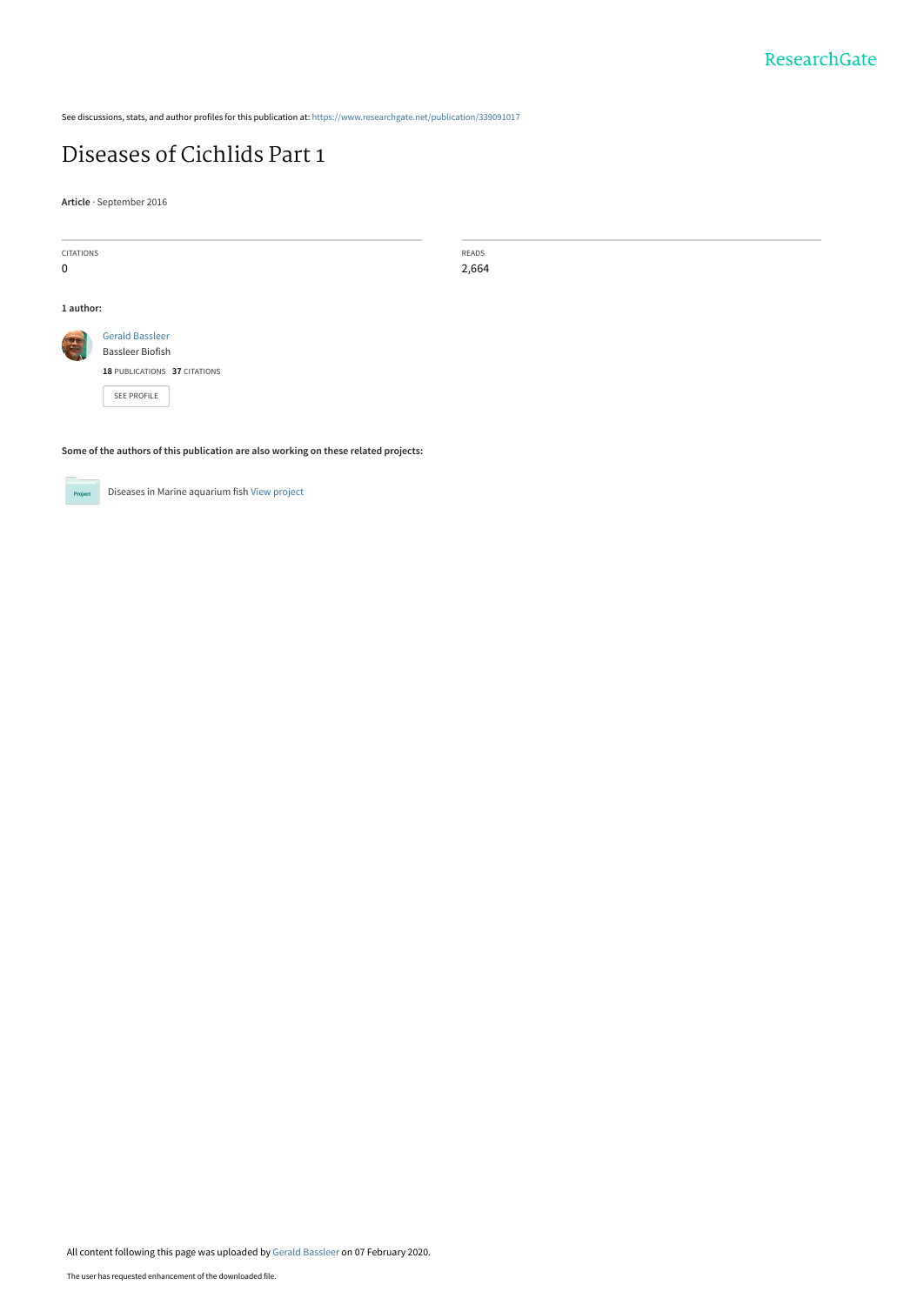See discussions, stats, and author profiles for this publication at: [https://www.researchgate.net/publication/339091017](https://www.researchgate.net/publication/339091017_Diseases_of_Cichlids_Part_1?enrichId=rgreq-ae98645114d763012898d14249224d25-XXX&enrichSource=Y292ZXJQYWdlOzMzOTA5MTAxNztBUzo4NTU4ODg2MDQ3MDA2NzJAMTU4MTA3MTE1MzI0OQ%3D%3D&el=1_x_2&_esc=publicationCoverPdf)

### [Diseases of Cichlids Part 1](https://www.researchgate.net/publication/339091017_Diseases_of_Cichlids_Part_1?enrichId=rgreq-ae98645114d763012898d14249224d25-XXX&enrichSource=Y292ZXJQYWdlOzMzOTA5MTAxNztBUzo4NTU4ODg2MDQ3MDA2NzJAMTU4MTA3MTE1MzI0OQ%3D%3D&el=1_x_3&_esc=publicationCoverPdf)

**Article** · September 2016

| CITATIONS |                                                                                     | READS |  |  |
|-----------|-------------------------------------------------------------------------------------|-------|--|--|
| 0         |                                                                                     | 2,664 |  |  |
|           |                                                                                     |       |  |  |
| 1 author: |                                                                                     |       |  |  |
| S         | <b>Gerald Bassleer</b>                                                              |       |  |  |
|           | <b>Bassleer Biofish</b>                                                             |       |  |  |
|           | 18 PUBLICATIONS 37 CITATIONS                                                        |       |  |  |
|           | <b>SEE PROFILE</b>                                                                  |       |  |  |
|           |                                                                                     |       |  |  |
|           | Some of the authors of this publication are also working on these related projects: |       |  |  |



Diseases in Marine aquarium fish [View project](https://www.researchgate.net/project/Diseases-in-Marine-aquarium-fish?enrichId=rgreq-ae98645114d763012898d14249224d25-XXX&enrichSource=Y292ZXJQYWdlOzMzOTA5MTAxNztBUzo4NTU4ODg2MDQ3MDA2NzJAMTU4MTA3MTE1MzI0OQ%3D%3D&el=1_x_9&_esc=publicationCoverPdf)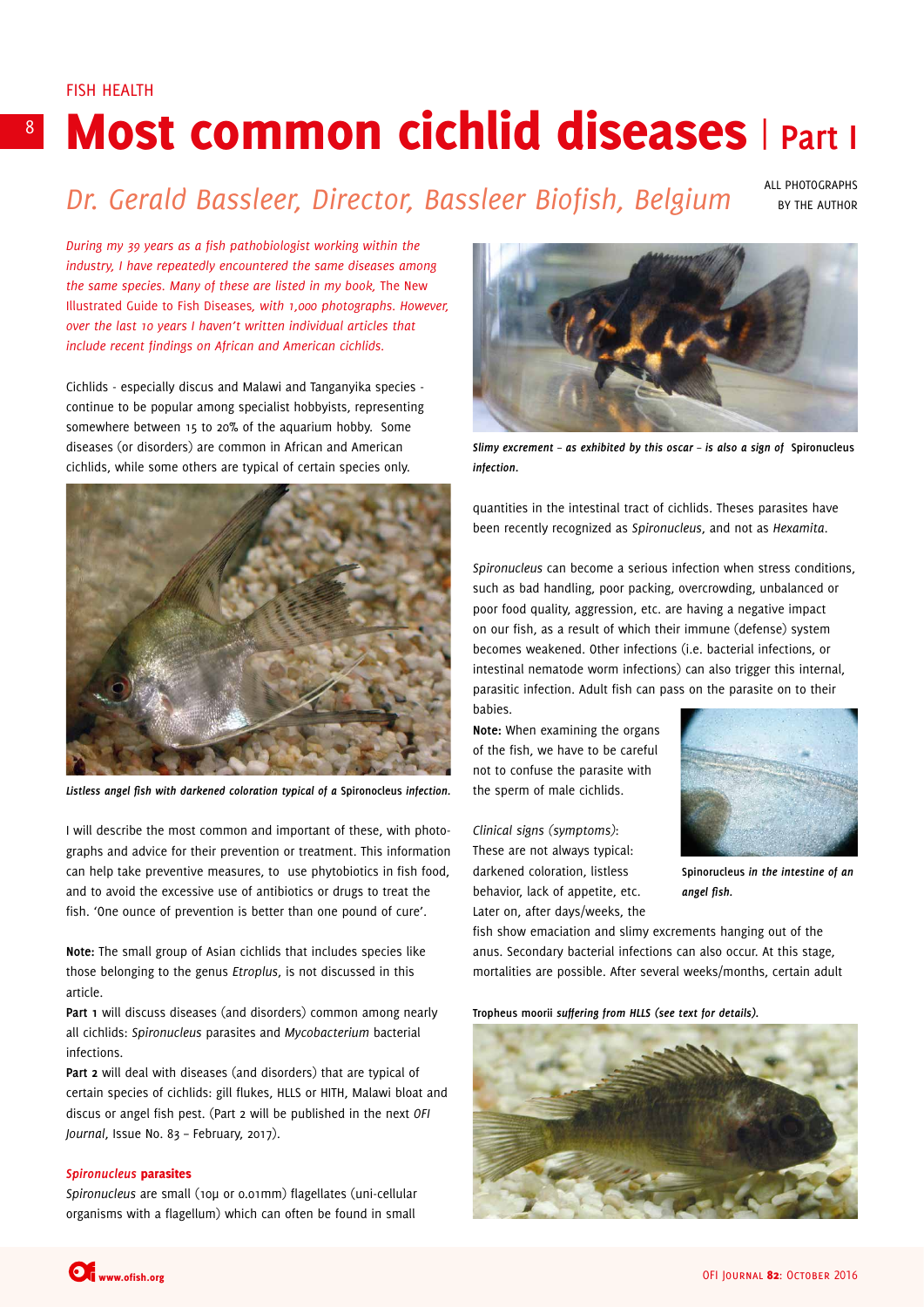# Most common cichlid diseases | **Part I**

## *Dr. Gerald Bassleer, Director, Bassleer Biofish, Belgium*

ALL PHOTOGRAPHS BY THE AUTHOR

*During my 39 years as a fish pathobiologist working within the industry, I have repeatedly encountered the same diseases among the same species. Many of these are listed in my book,* The New Illustrated Guide to Fish Diseases*, with 1,000 photographs. However, over the last 10 years I haven't written individual articles that include recent findings on African and American cichlids.* 

Cichlids - especially discus and Malawi and Tanganyika species continue to be popular among specialist hobbyists, representing somewhere between 15 to 20% of the aquarium hobby. Some diseases (or disorders) are common in African and American cichlids, while some others are typical of certain species only.



*Listless angel fish with darkened coloration typical of a* **Spironocleus** *infection.*

I will describe the most common and important of these, with photographs and advice for their prevention or treatment. This information can help take preventive measures, to use phytobiotics in fish food, and to avoid the excessive use of antibiotics or drugs to treat the fish. 'One ounce of prevention is better than one pound of cure'.

**Note:** The small group of Asian cichlids that includes species like those belonging to the genus *Etroplus*, is not discussed in this article.

**Part 1** will discuss diseases (and disorders) common among nearly all cichlids: *Spironucleus* parasites and *Mycobacterium* bacterial infections.

**Part 2** will deal with diseases (and disorders) that are typical of certain species of cichlids: gill flukes, HLLS or HITH, Malawi bloat and discus or angel fish pest. (Part 2 will be published in the next *OFI Journal*, Issue No. 83 – February, 2017).

### *Spironucleus* parasites

*Spironucleus* are small (10µ or 0.01mm) flagellates (uni-cellular organisms with a flagellum) which can often be found in small



*Slimy excrement – as exhibited by this oscar – is also a sign of* **Spironucleus** *infection.*

quantities in the intestinal tract of cichlids. Theses parasites have been recently recognized as *Spironucleus*, and not as *Hexamita*.

*Spironucleus* can become a serious infection when stress conditions, such as bad handling, poor packing, overcrowding, unbalanced or poor food quality, aggression, etc. are having a negative impact on our fish, as a result of which their immune (defense) system becomes weakened. Other infections (i.e. bacterial infections, or intestinal nematode worm infections) can also trigger this internal, parasitic infection. Adult fish can pass on the parasite on to their babies.

**Note:** When examining the organs of the fish, we have to be careful not to confuse the parasite with the sperm of male cichlids.

*Clinical signs (symptoms)*: These are not always typical: darkened coloration, listless behavior, lack of appetite, etc. Later on, after days/weeks, the



**Spinorucleus** *in the intestine of an angel fish.*

fish show emaciation and slimy excrements hanging out of the anus. Secondary bacterial infections can also occur. At this stage, mortalities are possible. After several weeks/months, certain adult

**Tropheus moorii** *suffering from HLLS (see text for details).*